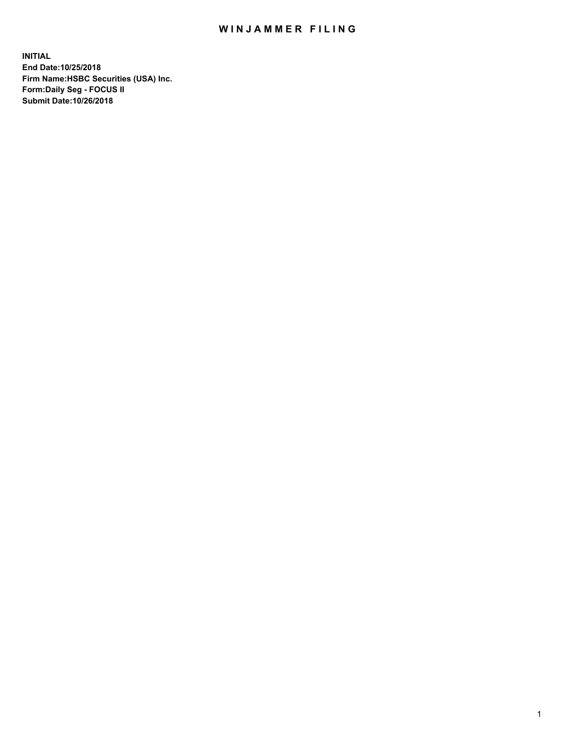## WIN JAMMER FILING

**INITIAL End Date:10/25/2018 Firm Name:HSBC Securities (USA) Inc. Form:Daily Seg - FOCUS II Submit Date:10/26/2018**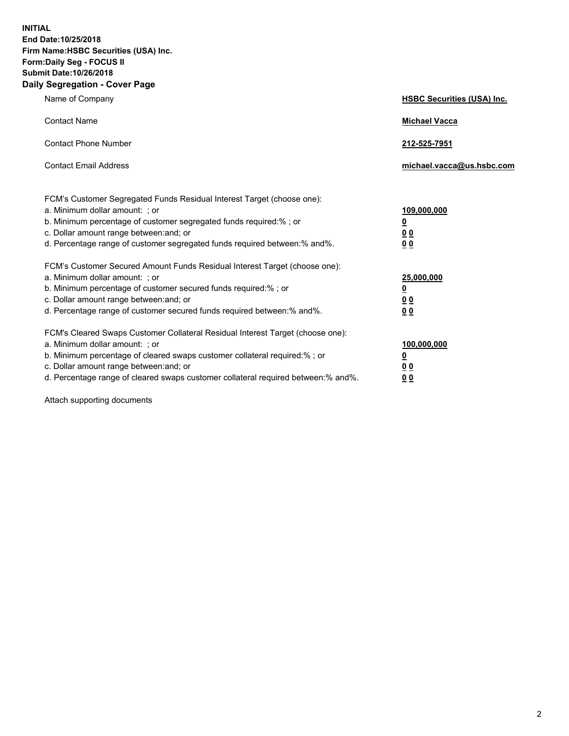**INITIAL End Date:10/25/2018 Firm Name:HSBC Securities (USA) Inc. Form:Daily Seg - FOCUS II Submit Date:10/26/2018 Daily Segregation - Cover Page**

| Name of Company                                                                                                                                                                                                                                                                                                                | <b>HSBC Securities (USA) Inc.</b>                                          |
|--------------------------------------------------------------------------------------------------------------------------------------------------------------------------------------------------------------------------------------------------------------------------------------------------------------------------------|----------------------------------------------------------------------------|
| <b>Contact Name</b>                                                                                                                                                                                                                                                                                                            | <b>Michael Vacca</b>                                                       |
| <b>Contact Phone Number</b>                                                                                                                                                                                                                                                                                                    | 212-525-7951                                                               |
| <b>Contact Email Address</b>                                                                                                                                                                                                                                                                                                   | michael.vacca@us.hsbc.com                                                  |
| FCM's Customer Segregated Funds Residual Interest Target (choose one):<br>a. Minimum dollar amount: ; or<br>b. Minimum percentage of customer segregated funds required:% ; or<br>c. Dollar amount range between: and; or<br>d. Percentage range of customer segregated funds required between:% and%.                         | 109,000,000<br>$\overline{\mathbf{0}}$<br>0 <sub>0</sub><br>0 <sub>0</sub> |
| FCM's Customer Secured Amount Funds Residual Interest Target (choose one):<br>a. Minimum dollar amount: ; or<br>b. Minimum percentage of customer secured funds required:% ; or<br>c. Dollar amount range between: and; or<br>d. Percentage range of customer secured funds required between: % and %.                         | 25,000,000<br>$\overline{\mathbf{0}}$<br>0 <sub>0</sub><br>0 <sub>0</sub>  |
| FCM's Cleared Swaps Customer Collateral Residual Interest Target (choose one):<br>a. Minimum dollar amount: ; or<br>b. Minimum percentage of cleared swaps customer collateral required:% ; or<br>c. Dollar amount range between: and; or<br>d. Percentage range of cleared swaps customer collateral required between:% and%. | 100,000,000<br>$\overline{\mathbf{0}}$<br>0 <sub>0</sub><br>00             |

Attach supporting documents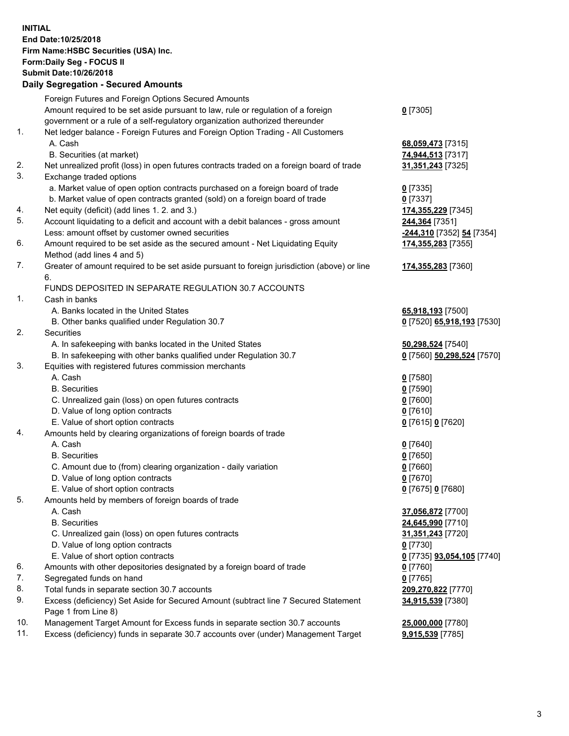**INITIAL End Date:10/25/2018 Firm Name:HSBC Securities (USA) Inc. Form:Daily Seg - FOCUS II Submit Date:10/26/2018 Daily Segregation - Secured Amounts** Foreign Futures and Foreign Options Secured Amounts Amount required to be set aside pursuant to law, rule or regulation of a foreign government or a rule of a self-regulatory organization authorized thereunder **0** [7305] 1. Net ledger balance - Foreign Futures and Foreign Option Trading - All Customers A. Cash **68,059,473** [7315] B. Securities (at market) **74,944,513** [7317] 2. Net unrealized profit (loss) in open futures contracts traded on a foreign board of trade **31,351,243** [7325] 3. Exchange traded options a. Market value of open option contracts purchased on a foreign board of trade **0** [7335] b. Market value of open contracts granted (sold) on a foreign board of trade **0** [7337] 4. Net equity (deficit) (add lines 1. 2. and 3.) **174,355,229** [7345] 5. Account liquidating to a deficit and account with a debit balances - gross amount **244,364** [7351] Less: amount offset by customer owned securities **-244,310** [7352] **54** [7354] 6. Amount required to be set aside as the secured amount - Net Liquidating Equity Method (add lines 4 and 5) **174,355,283** [7355] 7. Greater of amount required to be set aside pursuant to foreign jurisdiction (above) or line 6. **174,355,283** [7360] FUNDS DEPOSITED IN SEPARATE REGULATION 30.7 ACCOUNTS 1. Cash in banks A. Banks located in the United States **65,918,193** [7500] B. Other banks qualified under Regulation 30.7 **0** [7520] **65,918,193** [7530] 2. Securities A. In safekeeping with banks located in the United States **50,298,524** [7540] B. In safekeeping with other banks qualified under Regulation 30.7 **0** [7560] **50,298,524** [7570] 3. Equities with registered futures commission merchants A. Cash **0** [7580] B. Securities **0** [7590] C. Unrealized gain (loss) on open futures contracts **0** [7600] D. Value of long option contracts **0** [7610] E. Value of short option contracts **0** [7615] **0** [7620] 4. Amounts held by clearing organizations of foreign boards of trade A. Cash **0** [7640] B. Securities **0** [7650] C. Amount due to (from) clearing organization - daily variation **0** [7660] D. Value of long option contracts **0** [7670] E. Value of short option contracts **0** [7675] **0** [7680] 5. Amounts held by members of foreign boards of trade A. Cash **37,056,872** [7700] B. Securities **24,645,990** [7710] C. Unrealized gain (loss) on open futures contracts **31,351,243** [7720] D. Value of long option contracts **0** [7730] E. Value of short option contracts **0** [7735] **93,054,105** [7740] 6. Amounts with other depositories designated by a foreign board of trade **0** [7760] 7. Segregated funds on hand **0** [7765]

- 8. Total funds in separate section 30.7 accounts **209,270,822** [7770]
- 9. Excess (deficiency) Set Aside for Secured Amount (subtract line 7 Secured Statement Page 1 from Line 8)
- 10. Management Target Amount for Excess funds in separate section 30.7 accounts **25,000,000** [7780]
- 11. Excess (deficiency) funds in separate 30.7 accounts over (under) Management Target **9,915,539** [7785]

**34,915,539** [7380]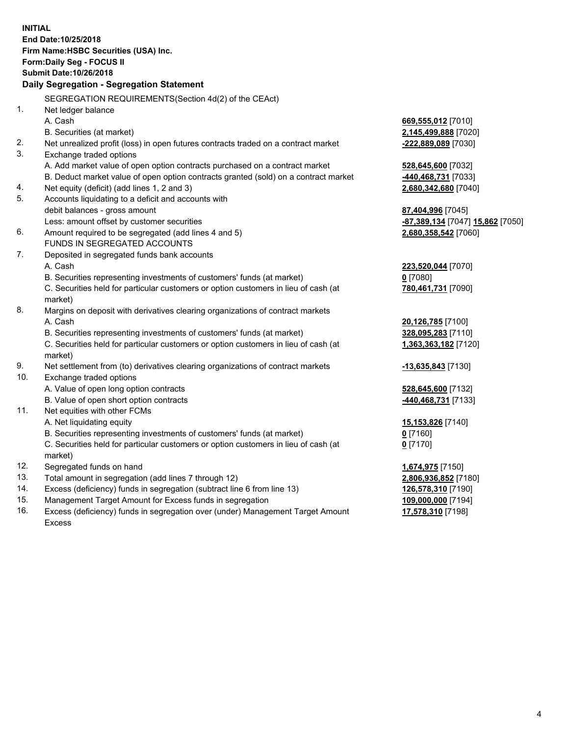**INITIAL End Date:10/25/2018 Firm Name:HSBC Securities (USA) Inc. Form:Daily Seg - FOCUS II Submit Date:10/26/2018 Daily Segregation - Segregation Statement** SEGREGATION REQUIREMENTS(Section 4d(2) of the CEAct) 1. Net ledger balance A. Cash **669,555,012** [7010] B. Securities (at market) **2,145,499,888** [7020] 2. Net unrealized profit (loss) in open futures contracts traded on a contract market **-222,889,089** [7030] 3. Exchange traded options A. Add market value of open option contracts purchased on a contract market **528,645,600** [7032] B. Deduct market value of open option contracts granted (sold) on a contract market **-440,468,731** [7033] 4. Net equity (deficit) (add lines 1, 2 and 3) **2,680,342,680** [7040] 5. Accounts liquidating to a deficit and accounts with debit balances - gross amount **87,404,996** [7045] Less: amount offset by customer securities **-87,389,134** [7047] **15,862** [7050] 6. Amount required to be segregated (add lines 4 and 5) **2,680,358,542** [7060] FUNDS IN SEGREGATED ACCOUNTS 7. Deposited in segregated funds bank accounts A. Cash **223,520,044** [7070] B. Securities representing investments of customers' funds (at market) **0** [7080] C. Securities held for particular customers or option customers in lieu of cash (at market) **780,461,731** [7090] 8. Margins on deposit with derivatives clearing organizations of contract markets A. Cash **20,126,785** [7100] B. Securities representing investments of customers' funds (at market) **328,095,283** [7110] C. Securities held for particular customers or option customers in lieu of cash (at market) **1,363,363,182** [7120] 9. Net settlement from (to) derivatives clearing organizations of contract markets **-13,635,843** [7130] 10. Exchange traded options A. Value of open long option contracts **528,645,600** [7132] B. Value of open short option contracts **-440,468,731** [7133] 11. Net equities with other FCMs A. Net liquidating equity **15,153,826** [7140] B. Securities representing investments of customers' funds (at market) **0** [7160] C. Securities held for particular customers or option customers in lieu of cash (at market) **0** [7170] 12. Segregated funds on hand **1,674,975** [7150] 13. Total amount in segregation (add lines 7 through 12) **2,806,936,852** [7180] 14. Excess (deficiency) funds in segregation (subtract line 6 from line 13) **126,578,310** [7190] 15. Management Target Amount for Excess funds in segregation **109,000,000** [7194] 16. Excess (deficiency) funds in segregation over (under) Management Target Amount **17,578,310** [7198]

Excess